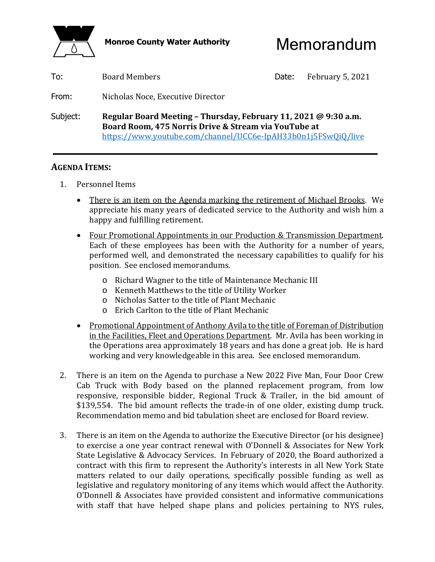



| To:      | <b>Board Members</b>                                                                                                                                                                     | Date: | February 5, 2021 |  |
|----------|------------------------------------------------------------------------------------------------------------------------------------------------------------------------------------------|-------|------------------|--|
| From:    | Nicholas Noce, Executive Director                                                                                                                                                        |       |                  |  |
| Subject: | Regular Board Meeting - Thursday, February 11, 2021 @ 9:30 a.m.<br>Board Room, 475 Norris Drive & Stream via YouTube at<br>https://www.youtube.com/channel/UCC6e-IpAH33b0n1j5FSwQiQ/live |       |                  |  |

### **AGENDA ITEMS:**

- 1. Personnel Items
	- There is an item on the Agenda marking the retirement of Michael Brooks. We appreciate his many years of dedicated service to the Authority and wish him a happy and fulfilling retirement.
	- Four Promotional Appointments in our Production & Transmission Department. Each of these employees has been with the Authority for a number of years, performed well, and demonstrated the necessary capabilities to qualify for his position. See enclosed memorandums.
		- o Richard Wagner to the title of Maintenance Mechanic III
		- o Kenneth Matthews to the title of Utility Worker
		- o Nicholas Satter to the title of Plant Mechanic
		- o Erich Carlton to the title of Plant Mechanic
	- Promotional Appointment of Anthony Avila to the title of Foreman of Distribution in the Facilities, Fleet and Operations Department. Mr. Avila has been working in the Operations area approximately 18 years and has done a great job. He is hard working and very knowledgeable in this area. See enclosed memorandum.
- 2. There is an item on the Agenda to purchase a New 2022 Five Man, Four Door Crew Cab Truck with Body based on the planned replacement program, from low responsive, responsible bidder, Regional Truck & Trailer, in the bid amount of \$139,554. The bid amount reflects the trade-in of one older, existing dump truck. Recommendation memo and bid tabulation sheet are enclosed for Board review.
- 3. There is an item on the Agenda to authorize the Executive Director (or his designee) to exercise a one year contract renewal with O'Donnell & Associates for New York State Legislative & Advocacy Services. In February of 2020, the Board authorized a contract with this firm to represent the Authority's interests in all New York State matters related to our daily operations, specifically possible funding as well as legislative and regulatory monitoring of any items which would affect the Authority. O'Donnell & Associates have provided consistent and informative communications with staff that have helped shape plans and policies pertaining to NYS rules,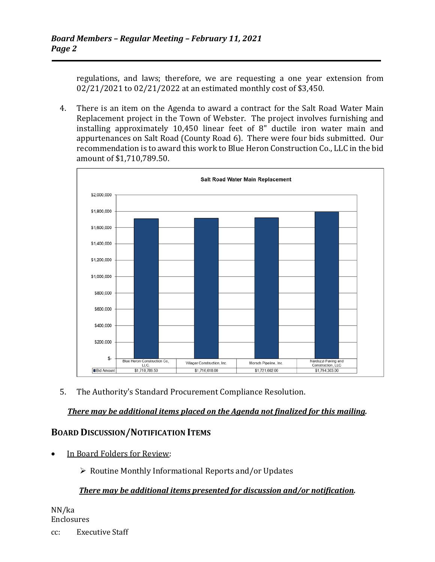regulations, and laws; therefore, we are requesting a one year extension from 02/21/2021 to 02/21/2022 at an estimated monthly cost of \$3,450.

 4. There is an item on the Agenda to award a contract for the Salt Road Water Main Replacement project in the Town of Webster. The project involves furnishing and installing approximately 10,450 linear feet of 8" ductile iron water main and appurtenances on Salt Road (County Road 6). There were four bids submitted. Our recommendation is to award this work to Blue Heron Construction Co., LLC in the bid amount of \$1,710,789.50.



5. The Authority's Standard Procurement Compliance Resolution.

#### *There may be additional items placed on the Agenda not finalized for this mailing.*

#### **BOARD DISCUSSION/NOTIFICATION ITEMS**

In Board Folders for Review:

 $\triangleright$  Routine Monthly Informational Reports and/or Updates

#### *There may be additional items presented for discussion and/or notification.*

NN/ka Enclosures

cc: Executive Staff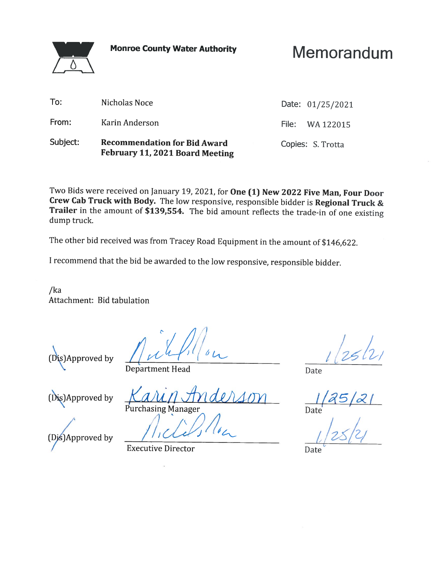**Monroe County Water Authority** 

# Memorandum

| Subject: | <b>Recommendation for Bid Award</b><br>February 11, 2021 Board Meeting | Copies: S. Trotta |                  |
|----------|------------------------------------------------------------------------|-------------------|------------------|
| From:    | Karin Anderson                                                         |                   | File: WA 122015  |
| To:      | Nicholas Noce                                                          |                   | Date: 01/25/2021 |

Two Bids were received on January 19, 2021, for One (1) New 2022 Five Man, Four Door Crew Cab Truck with Body. The low responsive, responsible bidder is Regional Truck & Trailer in the amount of \$139,554. The bid amount reflects the trade-in of one existing dump truck.

The other bid received was from Tracey Road Equipment in the amount of \$146,622.

I recommend that the bid be awarded to the low responsive, responsible bidder.

 $/ka$ Attachment: Bid tabulation

(Dis)Approved by

 $\bigwedge$ 

**Department Head** 

(Dis)Approved by

**Purchasing Manager** 

Date

Date

(Dis)Approved by

**Executive Director** 

Date